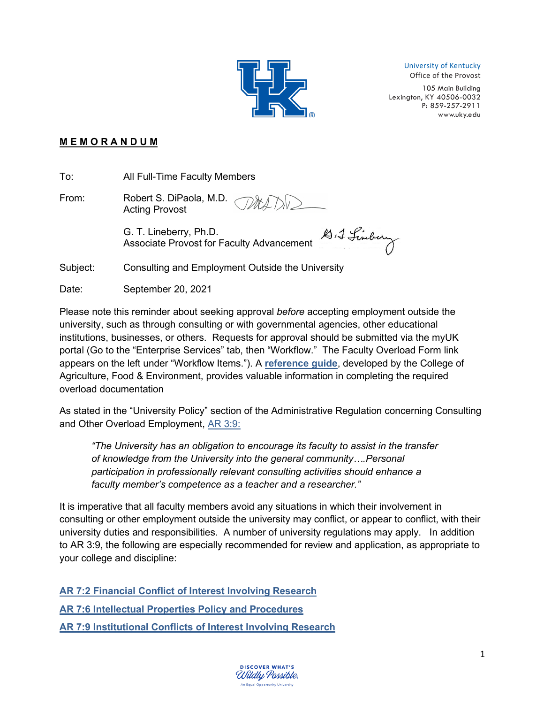

University of Kentucky

Office of the Provost

105 Main Building Lexington, KY 40506-0032 P: 859-257-2911 [www.uky.edu](http://www.uky.edu/)

## **M E M O R A N D U M**

To: All Full-Time Faculty Members

From: Robert S. DiPaola, M.D. Acting Provost

D. J. Lindery G. T. Lineberry, Ph.D. Associate Provost for Faculty Advancement

Subject: Consulting and Employment Outside the University

Date: September 20, 2021

Please note this reminder about seeking approval *before* accepting employment outside the university, such as through consulting or with governmental agencies, other educational institutions, businesses, or others. Requests for approval should be submitted via the myUK portal (Go to the "Enterprise Services" tab, then "Workflow." The Faculty Overload Form link appears on the left under "Workflow Items."). A **[reference guide](https://administration.ca.uky.edu/files/consulting_instructions_for_submitting_a_faculty_overload_.pdf)**, developed by the College of Agriculture, Food & Environment, provides valuable information in completing the required overload documentation

As stated in the "University Policy" section of the Administrative Regulation concerning Consulting and Other Overload Employment, [AR 3:9:](https://www.uky.edu/regs/ar3-9)

*"The University has an obligation to encourage its faculty to assist in the transfer of knowledge from the University into the general community….Personal participation in professionally relevant consulting activities should enhance a faculty member's competence as a teacher and a researcher."*

It is imperative that all faculty members avoid any situations in which their involvement in consulting or other employment outside the university may conflict, or appear to conflict, with their university duties and responsibilities. A number of university regulations may apply. In addition to AR 3:9, the following are especially recommended for review and application, as appropriate to your college and discipline:

**[AR 7:2 Financial Conflict of Interest Involving Research](https://www.uky.edu/regs/ar7-2) [AR 7:6 Intellectual Properties Policy and Procedures](https://www.uky.edu/regs/ar7-6) [AR 7:9 Institutional Conflicts of Interest Involving Research](https://www.uky.edu/regs/ar7-9)**